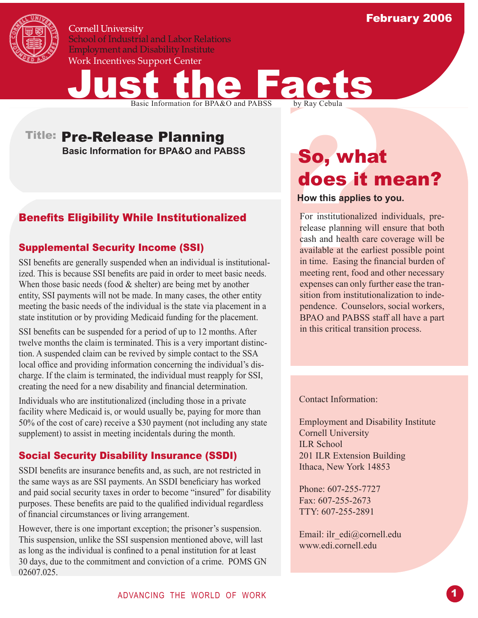

**Cornell University School of Industrial and Labor Relations Employment and Disability Institute** Work Incentives Support Center



Basic Information for BPA&O and PABSS **So, what** 

# Benefits Eligibility While Institutionalized

## Supplemental Security Income (SSI)

Basic Information for BPA&O and PABSS<br> **Example 18 Solution**<br>
Basic Information for BPA&O and PABSS<br> **Solution**<br> **Solution**<br> **Solution**<br> **Solution**<br> **Solution**<br> **Solution**<br> **Solution**<br> **Solution**<br> **Solution**<br> **Solution**<br> SSI benefits are generally suspended when an individual is institutionalized. This is because SSI benefits are paid in order to meet basic needs. When those basic needs (food  $&$  shelter) are being met by another entity, SSI payments will not be made. In many cases, the other entity meeting the basic needs of the individual is the state via placement in a state institution or by providing Medicaid funding for the placement.

SSI benefits can be suspended for a period of up to 12 months. After twelve months the claim is terminated. This is a very important distinction. A suspended claim can be revived by simple contact to the SSA local office and providing information concerning the individual's discharge. If the claim is terminated, the individual must reapply for SSI, creating the need for a new disability and financial determination.

Individuals who are institutionalized (including those in a private facility where Medicaid is, or would usually be, paying for more than 50% of the cost of care) receive a \$30 payment (not including any state supplement) to assist in meeting incidentals during the month.

## Social Security Disability Insurance (SSDI)

SSDI benefits are insurance benefits and, as such, are not restricted in the same ways as are SSI payments. An SSDI beneficiary has worked and paid social security taxes in order to become "insured" for disability purposes. These benefits are paid to the qualified individual regardless of financial circumstances or living arrangement.

However, there is one important exception; the prisoner's suspension. This suspension, unlike the SSI suspension mentioned above, will last as long as the individual is confined to a penal institution for at least 30 days, due to the commitment and conviction of a crime. POMS GN 02607.025.

# does it mean?

#### **How this applies to you.**

For institutionalized individuals, prerelease planning will ensure that both cash and health care coverage will be available at the earliest possible point in time. Easing the financial burden of meeting rent, food and other necessary expenses can only further ease the transition from institutionalization to independence. Counselors, social workers, BPAO and PABSS staff all have a part in this critical transition process.

Contact Information:

Employment and Disability Institute Cornell University ILR School 201 ILR Extension Building Ithaca, New York 14853

Phone: 607-255-7727 Fax: 607-255-2673 TTY: 607-255-2891

Email: ilr\_edi@cornell.edu www.edi.cornell.edu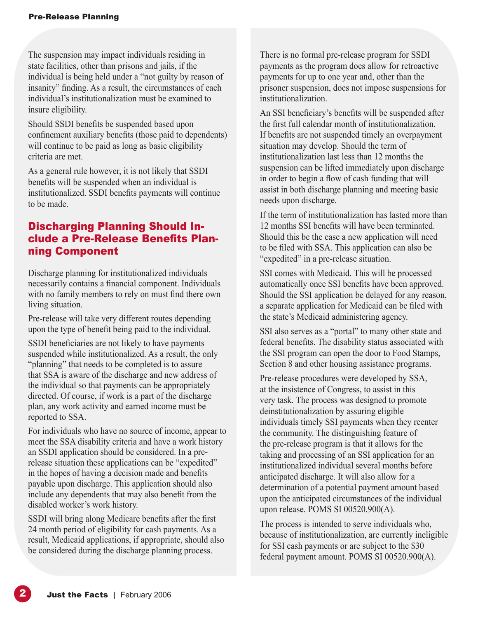The suspension may impact individuals residing in state facilities, other than prisons and jails, if the individual is being held under a "not guilty by reason of insanity" finding. As a result, the circumstances of each individual's institutionalization must be examined to insure eligibility.

Should SSDI benefits be suspended based upon confinement auxiliary benefits (those paid to dependents) will continue to be paid as long as basic eligibility criteria are met.

As a general rule however, it is not likely that SSDI benefits will be suspended when an individual is institutionalized. SSDI benefits payments will continue to be made.

# Discharging Planning Should Include a Pre-Release Benefits Planning Component

Discharge planning for institutionalized individuals necessarily contains a financial component. Individuals with no family members to rely on must find there own living situation.

Pre-release will take very different routes depending upon the type of benefit being paid to the individual.

SSDI beneficiaries are not likely to have payments suspended while institutionalized. As a result, the only "planning" that needs to be completed is to assure that SSA is aware of the discharge and new address of the individual so that payments can be appropriately directed. Of course, if work is a part of the discharge plan, any work activity and earned income must be reported to SSA.

For individuals who have no source of income, appear to meet the SSA disability criteria and have a work history an SSDI application should be considered. In a prerelease situation these applications can be "expedited" in the hopes of having a decision made and benefits payable upon discharge. This application should also include any dependents that may also benefit from the disabled worker's work history.

SSDI will bring along Medicare benefits after the first 24 month period of eligibility for cash payments. As a result, Medicaid applications, if appropriate, should also be considered during the discharge planning process.

There is no formal pre-release program for SSDI payments as the program does allow for retroactive payments for up to one year and, other than the prisoner suspension, does not impose suspensions for institutionalization.

An SSI beneficiary's benefits will be suspended after the first full calendar month of institutionalization. If benefits are not suspended timely an overpayment situation may develop. Should the term of institutionalization last less than 12 months the suspension can be lifted immediately upon discharge in order to begin a flow of cash funding that will assist in both discharge planning and meeting basic needs upon discharge.

If the term of institutionalization has lasted more than 12 months SSI benefits will have been terminated. Should this be the case a new application will need to be filed with SSA. This application can also be "expedited" in a pre-release situation.

SSI comes with Medicaid. This will be processed automatically once SSI benefits have been approved. Should the SSI application be delayed for any reason, a separate application for Medicaid can be filed with the state's Medicaid administering agency.

SSI also serves as a "portal" to many other state and federal benefits. The disability status associated with the SSI program can open the door to Food Stamps, Section 8 and other housing assistance programs.

Pre-release procedures were developed by SSA, at the insistence of Congress, to assist in this very task. The process was designed to promote deinstitutionalization by assuring eligible individuals timely SSI payments when they reenter the community. The distinguishing feature of the pre-release program is that it allows for the taking and processing of an SSI application for an institutionalized individual several months before anticipated discharge. It will also allow for a determination of a potential payment amount based upon the anticipated circumstances of the individual upon release. POMS SI 00520.900(A).

The process is intended to serve individuals who, because of institutionalization, are currently ineligible for SSI cash payments or are subject to the \$30 federal payment amount. POMS SI 00520.900(A).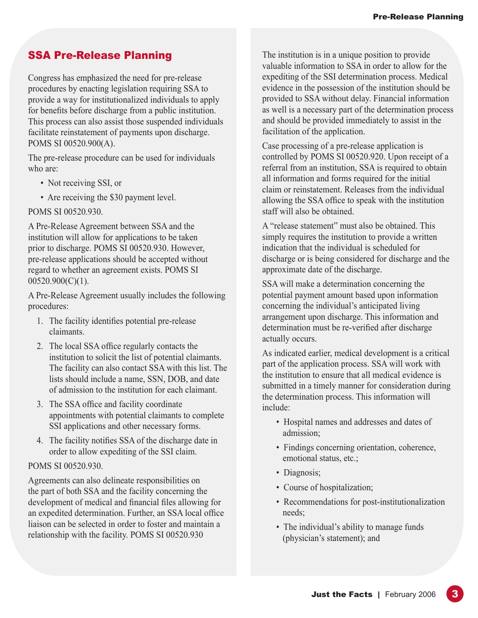# SSA Pre-Release Planning

Congress has emphasized the need for pre-release procedures by enacting legislation requiring SSA to provide a way for institutionalized individuals to apply for benefits before discharge from a public institution. This process can also assist those suspended individuals facilitate reinstatement of payments upon discharge. POMS SI 00520.900(A).

The pre-release procedure can be used for individuals who are:

- Not receiving SSI, or
- Are receiving the \$30 payment level.

#### POMS SI 00520.930.

A Pre-Release Agreement between SSA and the institution will allow for applications to be taken prior to discharge. POMS SI 00520.930. However, pre-release applications should be accepted without regard to whether an agreement exists. POMS SI 00520.900(C)(1).

A Pre-Release Agreement usually includes the following procedures:

- 1. The facility identifies potential pre-release claimants.
- 2. The local SSA office regularly contacts the institution to solicit the list of potential claimants. The facility can also contact SSA with this list. The lists should include a name, SSN, DOB, and date of admission to the institution for each claimant.
- 3. The SSA office and facility coordinate appointments with potential claimants to complete SSI applications and other necessary forms.
- 4. The facility notifies SSA of the discharge date in order to allow expediting of the SSI claim.

#### POMS SI 00520.930.

Agreements can also delineate responsibilities on the part of both SSA and the facility concerning the development of medical and financial files allowing for an expedited determination. Further, an SSA local office liaison can be selected in order to foster and maintain a relationship with the facility. POMS SI 00520.930

The institution is in a unique position to provide valuable information to SSA in order to allow for the expediting of the SSI determination process. Medical evidence in the possession of the institution should be provided to SSA without delay. Financial information as well is a necessary part of the determination process and should be provided immediately to assist in the facilitation of the application.

Case processing of a pre-release application is controlled by POMS SI 00520.920. Upon receipt of a referral from an institution, SSA is required to obtain all information and forms required for the initial claim or reinstatement. Releases from the individual allowing the SSA office to speak with the institution staff will also be obtained.

A "release statement" must also be obtained. This simply requires the institution to provide a written indication that the individual is scheduled for discharge or is being considered for discharge and the approximate date of the discharge.

SSA will make a determination concerning the potential payment amount based upon information concerning the individual's anticipated living arrangement upon discharge. This information and determination must be re-verified after discharge actually occurs.

As indicated earlier, medical development is a critical part of the application process. SSA will work with the institution to ensure that all medical evidence is submitted in a timely manner for consideration during the determination process. This information will include:

- Hospital names and addresses and dates of admission;
- Findings concerning orientation, coherence, emotional status, etc.;
- Diagnosis;
- Course of hospitalization;
- Recommendations for post-institutionalization needs;
- The individual's ability to manage funds (physician's statement); and